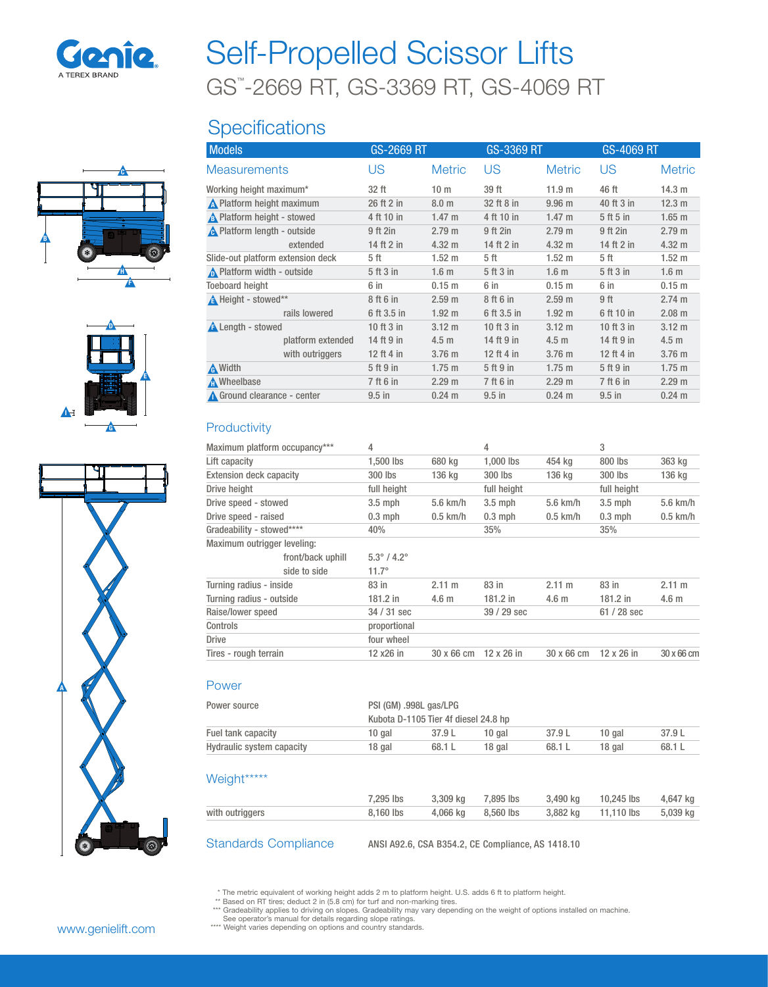

# GS™ -2669 RT, GS-3369 RT, GS-4069 RT Self-Propelled Scissor Lifts

## **Specifications**







| <b>Models</b>                     |                   | GS-2669 RT   |                   | GS-3369 RT   |                   | GS-4069 RT   |                   |
|-----------------------------------|-------------------|--------------|-------------------|--------------|-------------------|--------------|-------------------|
| <b>Measurements</b>               |                   | US           | <b>Metric</b>     | US           | <b>Metric</b>     | US           | <b>Metric</b>     |
| Working height maximum*           |                   | 32 ft        | 10 <sub>m</sub>   | 39 ft        | 11.9 m            | 46 ft        | 14.3 m            |
| No Platform height maximum        |                   | 26 ft 2 in   | 8.0 <sub>m</sub>  | 32 ft 8 in   | 9.96 <sub>m</sub> | 40 ft 3 in   | 12.3 m            |
| A Platform height - stowed        |                   | 4 ft 10 in   | $1.47 \text{ m}$  | 4 ft 10 in   | $1.47 \text{ m}$  | 5 ft 5 in    | $1.65$ m          |
| A Platform length - outside       |                   | 9 ft 2in     | 2.79 m            | 9 ft 2in     | 2.79 m            | 9 ft 2in     | 2.79 m            |
|                                   | extended          | 14 ft 2 in   | $4.32 \text{ m}$  | 14 ft 2 in   | 4.32 m            | 14 ft 2 in   | $4.32 \text{ m}$  |
| Slide-out platform extension deck |                   | 5 ft         | 1.52 m            | 5 ft         | $1.52 \text{ m}$  | 5 ft         | 1.52 m            |
| Platform width - outside          |                   | 5 ft 3 in    | 1.6 <sub>m</sub>  | 5 ft 3 in    | 1.6 <sub>m</sub>  | 5 ft 3 in    | 1.6 <sub>m</sub>  |
| <b>Toeboard height</b>            |                   | 6 in         | 0.15 <sub>m</sub> | 6 in         | 0.15 m            | 6 in         | 0.15 m            |
| A Height - stowed**               |                   | 8 ft 6 in    | 2.59 <sub>m</sub> | 8 ft 6 in    | 2.59 m            | 9 ft         | 2.74 m            |
|                                   | rails lowered     | 6 ft 3.5 in  | $1.92 \text{ m}$  | 6 ft 3.5 in  | $1.92 \text{ m}$  | 6 ft 10 in   | 2.08 m            |
| <b>A</b> Length - stowed          |                   | 10 ft $3$ in | $3.12 \text{ m}$  | 10 ft $3$ in | $3.12 \text{ m}$  | 10 ft $3$ in | $3.12 \text{ m}$  |
|                                   | platform extended | 14 ft 9 in   | 4.5 <sub>m</sub>  | 14 ft 9 in   | 4.5 <sub>m</sub>  | 14 ft 9 in   | 4.5 <sub>m</sub>  |
|                                   | with outriggers   | 12 ft 4 in   | 3.76 <sub>m</sub> | 12 ft 4 in   | 3.76 <sub>m</sub> | 12 ft 4 in   | 3.76 <sub>m</sub> |
| A Width                           |                   | 5 ft 9 in    | $1.75$ m          | 5 ft 9 in    | $1.75 \text{ m}$  | 5 ft 9 in    | $1.75 \text{ m}$  |
| M Wheelbase                       |                   | 7 ft 6 in    | 2.29 m            | 7 ft 6 in    | 2.29 m            | 7 ft 6 in    | 2.29 m            |
| Ground clearance - center         |                   | $9.5$ in     | $0.24 \text{ m}$  | $9.5$ in     | $0.24 \text{ m}$  | $9.5$ in     | $0.24 \text{ m}$  |
|                                   |                   |              |                   |              |                   |              |                   |

### **Productivity**

| Maximum platform occupancy***  |                   | 4                              |                  | 4                 |                  | 3                 |                  |
|--------------------------------|-------------------|--------------------------------|------------------|-------------------|------------------|-------------------|------------------|
| Lift capacity                  |                   | 1,500 lbs                      | 680 kg           | 1,000 lbs         | 454 kg           | 800 lbs           | 363 kg           |
| <b>Extension deck capacity</b> |                   | 300 lbs                        | 136 kg           | 300 lbs           | 136 kg           | 300 lbs           | 136 kg           |
| Drive height                   |                   | full height                    |                  | full height       |                  | full height       |                  |
| Drive speed - stowed           |                   | $3.5$ mph                      | $5.6$ km/h       | $3.5$ mph         | $5.6$ km/h       | $3.5$ mph         | $5.6$ km/h       |
| Drive speed - raised           |                   | $0.3$ mph                      | $0.5$ km/h       | $0.3$ mph         | $0.5$ km/h       | $0.3$ mph         | $0.5$ km/h       |
| Gradeability - stowed****      |                   | 40%                            |                  | 35%               |                  | 35%               |                  |
| Maximum outrigger leveling:    |                   |                                |                  |                   |                  |                   |                  |
|                                | front/back uphill | $5.3^{\circ}$ / 4.2 $^{\circ}$ |                  |                   |                  |                   |                  |
|                                | side to side      | $11.7^\circ$                   |                  |                   |                  |                   |                  |
| Turning radius - inside        |                   | 83 in                          | 2.11 m           | 83 in             | 2.11 m           | 83 in             | 2.11 m           |
| Turning radius - outside       |                   | 181.2 in                       | 4.6 <sub>m</sub> | $181.2$ in        | 4.6 <sub>m</sub> | 181.2 in          | 4.6 <sub>m</sub> |
| Raise/lower speed              |                   | 34 / 31 sec                    |                  | 39 / 29 sec       |                  | $61/28$ sec       |                  |
| Controls                       |                   | proportional                   |                  |                   |                  |                   |                  |
| <b>Drive</b>                   |                   | four wheel                     |                  |                   |                  |                   |                  |
| Tires - rough terrain          |                   | 12 x26 in                      | 30 x 66 cm       | $12 \times 26$ in | 30 x 66 cm       | $12 \times 26$ in | 30 x 66 cm       |
|                                |                   |                                |                  |                   |                  |                   |                  |
|                                |                   |                                |                  |                   |                  |                   |                  |

#### Power

| Power source              | PSI (GM) .998L gas/LPG<br>Kubota D-1105 Tier 4f diesel 24.8 hp |          |           |          |            |          |  |
|---------------------------|----------------------------------------------------------------|----------|-----------|----------|------------|----------|--|
| Fuel tank capacity        | 10 gal                                                         | 37.9 L   | 10 gal    | 37.9 L   | 10 gal     | 37.9L    |  |
| Hydraulic system capacity | 18 gal                                                         | 68.1 L   | 18 gal    | 68.1 L   | 18 gal     | 68.1 L   |  |
| Weight*****               |                                                                |          |           |          |            |          |  |
|                           | 7.295 lbs                                                      | 3,309 kg | 7.895 lbs | 3,490 kg | 10.245 lbs | 4,647 kg |  |
| with outriggers           | 8.160 lbs                                                      | 4.066 ka | 8.560 lbs | 3.882 kg | 11.110 lbs | 5.039 kg |  |

Standards Compliance ANSI A92.6, CSA B354.2, CE Compliance, AS 1418.10

\* The metric equivalent of working height adds 2 m to platform height. U.S. adds 6 ft to platform height. \*\* Based on RT tires; deduct 2 in (5.8 cm) for turf and non-marking tires.

\*\*\* Gradeability applies to driving on slopes. Gradeability may vary depending on the weight of options installed on machine.<br>See operator's manual for details regarding slope ratings.<br>\*\*\*\* Weight varies depending on optio